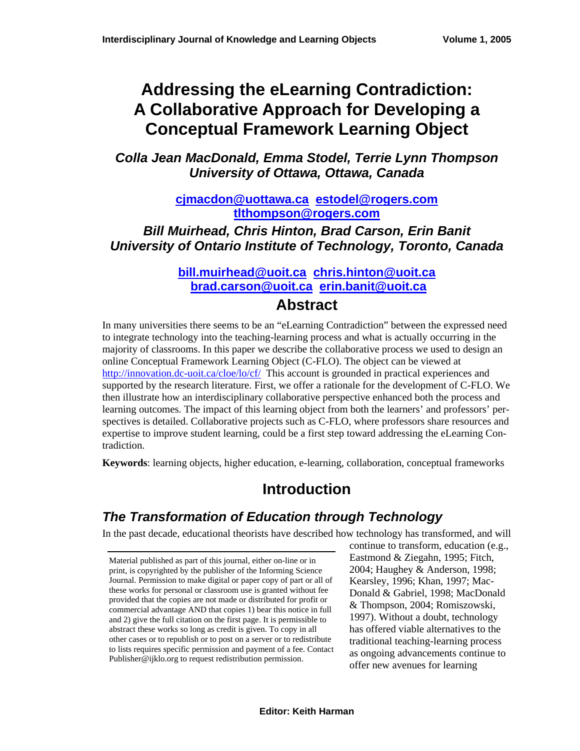# **Addressing the eLearning Contradiction: A Collaborative Approach for Developing a Conceptual Framework Learning Object**

*Colla Jean MacDonald, Emma Stodel, Terrie Lynn Thompson University of Ottawa, Ottawa, Canada* 

> **[cjmacdon@uottawa.ca](mailto:cjmacdon@uottawa.ca) [estodel@rogers.com](mailto:estodel@rogers.com)  tlthompson@rogers.com**

*Bill Muirhead, [Chris Hinton, Brad Cars](mailto:tlthompson@rogers.com)on, Erin Banit University of Ontario Institute of Technology, Toronto, Canada* 

#### **[bill.muirhead@uoit.ca](mailto:bill.muirhead@uoit.ca) [chris.hinton@uoit.ca](mailto:chris.hinton@uoit.ca) brad.carson@uoit.ca [erin.banit@uoit.ca](mailto:erin.banit@uoit.ca)**

#### **[Abstr](mailto:brad.carson@uoit.ca)act**

In many universities there seems to be an "eLearning Contradiction" between the expressed need to integrate technology into the teaching-learning process and what is actually occurring in the majority of classrooms. In this paper we describe the collaborative process we used to design an online Conceptual Framework Learning Object (C-FLO). The object can be viewed at <http://innovation.dc-uoit.ca/cloe/lo/cf/>This account is grounded in practical experiences and supported by the research literature. First, we offer a rationale for the development of C-FLO. We then illustrate how an interdisciplinary collaborative perspective enhanced both the process and learning outcomes. The impact of this learning object from both the learners' and professors' perspectives is detailed. Collaborative projects such as C-FLO, where professors share resources and expertise to improve student learning, could be a first step toward addressing the eLearning Contradiction.

**Keywords**: learning objects, higher education, e-learning, collaboration, conceptual frameworks

## **Introduction**

### *The Transformation of Education through Technology*

In the past decade, educational theorists have described how technology has transformed, and will

Material published as part of this journal, either on-line or in print, is copyrighted by the publisher of the Informing Science Journal. Permission to make digital or paper copy of part or all of these works for personal or classroom use is granted without fee provided that the copies are not made or distributed for profit or commercial advantage AND that copies 1) bear this notice in full and 2) give the full citation on the first page. It is permissible to abstract these works so long as credit is given. To copy in all other cases or to republish or to post on a server or to redistribute to lists requires specific permission and payment of a fee. Contact Publisher@ijklo.org to request redistribution permission.

continue to transform, education (e.g., Eastmond & Ziegahn, 1995; Fitch, 2004; Haughey & Anderson, 1998; Kearsley, 1996; Khan, 1997; Mac-Donald & Gabriel, 1998; MacDonald & Thompson, 2004; Romiszowski, 1997). Without a doubt, technology has offered viable alternatives to the traditional teaching-learning process as ongoing advancements continue to offer new avenues for learning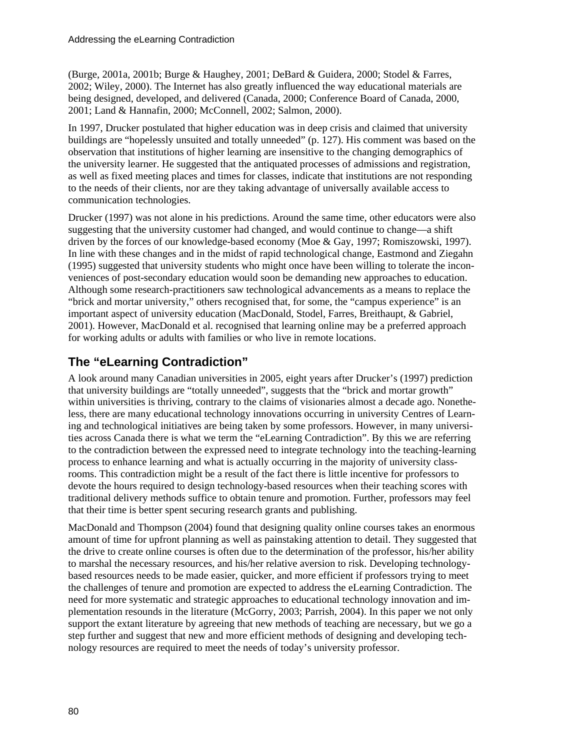(Burge, 2001a, 2001b; Burge & Haughey, 2001; DeBard & Guidera, 2000; Stodel & Farres, 2002; Wiley, 2000). The Internet has also greatly influenced the way educational materials are being designed, developed, and delivered (Canada, 2000; Conference Board of Canada, 2000, 2001; Land & Hannafin, 2000; McConnell, 2002; Salmon, 2000).

In 1997, Drucker postulated that higher education was in deep crisis and claimed that university buildings are "hopelessly unsuited and totally unneeded" (p. 127). His comment was based on the observation that institutions of higher learning are insensitive to the changing demographics of the university learner. He suggested that the antiquated processes of admissions and registration, as well as fixed meeting places and times for classes, indicate that institutions are not responding to the needs of their clients, nor are they taking advantage of universally available access to communication technologies.

Drucker (1997) was not alone in his predictions. Around the same time, other educators were also suggesting that the university customer had changed, and would continue to change—a shift driven by the forces of our knowledge-based economy (Moe & Gay, 1997; Romiszowski, 1997). In line with these changes and in the midst of rapid technological change, Eastmond and Ziegahn (1995) suggested that university students who might once have been willing to tolerate the inconveniences of post-secondary education would soon be demanding new approaches to education. Although some research-practitioners saw technological advancements as a means to replace the "brick and mortar university," others recognised that, for some, the "campus experience" is an important aspect of university education (MacDonald, Stodel, Farres, Breithaupt, & Gabriel, 2001). However, MacDonald et al. recognised that learning online may be a preferred approach for working adults or adults with families or who live in remote locations.

#### **The "eLearning Contradiction"**

A look around many Canadian universities in 2005, eight years after Drucker's (1997) prediction that university buildings are "totally unneeded", suggests that the "brick and mortar growth" within universities is thriving, contrary to the claims of visionaries almost a decade ago. Nonetheless, there are many educational technology innovations occurring in university Centres of Learning and technological initiatives are being taken by some professors. However, in many universities across Canada there is what we term the "eLearning Contradiction". By this we are referring to the contradiction between the expressed need to integrate technology into the teaching-learning process to enhance learning and what is actually occurring in the majority of university classrooms. This contradiction might be a result of the fact there is little incentive for professors to devote the hours required to design technology-based resources when their teaching scores with traditional delivery methods suffice to obtain tenure and promotion. Further, professors may feel that their time is better spent securing research grants and publishing.

MacDonald and Thompson (2004) found that designing quality online courses takes an enormous amount of time for upfront planning as well as painstaking attention to detail. They suggested that the drive to create online courses is often due to the determination of the professor, his/her ability to marshal the necessary resources, and his/her relative aversion to risk. Developing technologybased resources needs to be made easier, quicker, and more efficient if professors trying to meet the challenges of tenure and promotion are expected to address the eLearning Contradiction. The need for more systematic and strategic approaches to educational technology innovation and implementation resounds in the literature (McGorry, 2003; Parrish, 2004). In this paper we not only support the extant literature by agreeing that new methods of teaching are necessary, but we go a step further and suggest that new and more efficient methods of designing and developing technology resources are required to meet the needs of today's university professor.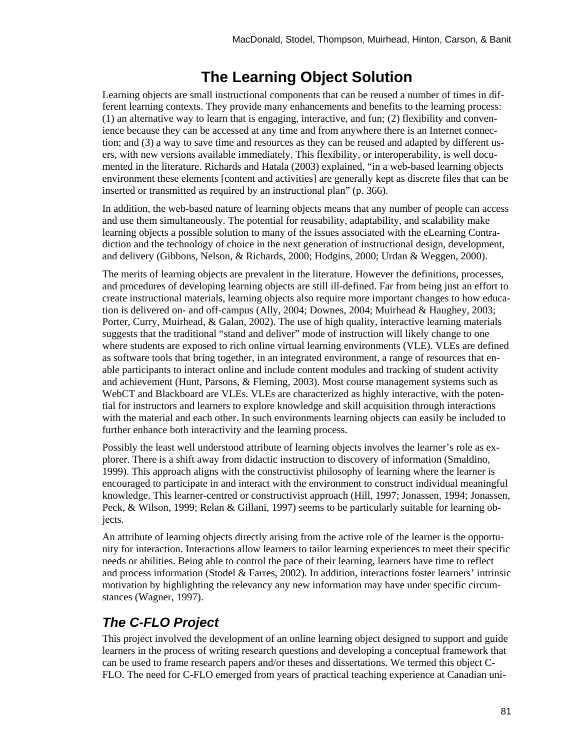## **The Learning Object Solution**

Learning objects are small instructional components that can be reused a number of times in different learning contexts. They provide many enhancements and benefits to the learning process: (1) an alternative way to learn that is engaging, interactive, and fun; (2) flexibility and convenience because they can be accessed at any time and from anywhere there is an Internet connection; and (3) a way to save time and resources as they can be reused and adapted by different users, with new versions available immediately. This flexibility, or interoperability, is well documented in the literature. Richards and Hatala (2003) explained, "in a web-based learning objects environment these elements [content and activities] are generally kept as discrete files that can be inserted or transmitted as required by an instructional plan" (p. 366).

In addition, the web-based nature of learning objects means that any number of people can access and use them simultaneously. The potential for reusability, adaptability, and scalability make learning objects a possible solution to many of the issues associated with the eLearning Contradiction and the technology of choice in the next generation of instructional design, development, and delivery (Gibbons, Nelson, & Richards, 2000; Hodgins, 2000; Urdan & Weggen, 2000).

The merits of learning objects are prevalent in the literature. However the definitions, processes, and procedures of developing learning objects are still ill-defined. Far from being just an effort to create instructional materials, learning objects also require more important changes to how education is delivered on- and off-campus (Ally, 2004; Downes, 2004; Muirhead & Haughey, 2003; Porter, Curry, Muirhead, & Galan, 2002). The use of high quality, interactive learning materials suggests that the traditional "stand and deliver" mode of instruction will likely change to one where students are exposed to rich online virtual learning environments (VLE). VLEs are defined as software tools that bring together, in an integrated environment, a range of resources that enable participants to interact online and include content modules and tracking of student activity and achievement (Hunt, Parsons, & Fleming, 2003). Most course management systems such as WebCT and Blackboard are VLEs. VLEs are characterized as highly interactive, with the potential for instructors and learners to explore knowledge and skill acquisition through interactions with the material and each other. In such environments learning objects can easily be included to further enhance both interactivity and the learning process.

Possibly the least well understood attribute of learning objects involves the learner's role as explorer. There is a shift away from didactic instruction to discovery of information (Smaldino, 1999). This approach aligns with the constructivist philosophy of learning where the learner is encouraged to participate in and interact with the environment to construct individual meaningful knowledge. This learner-centred or constructivist approach (Hill, 1997; Jonassen, 1994; Jonassen, Peck, & Wilson, 1999; Relan & Gillani, 1997) seems to be particularly suitable for learning objects.

An attribute of learning objects directly arising from the active role of the learner is the opportunity for interaction. Interactions allow learners to tailor learning experiences to meet their specific needs or abilities. Being able to control the pace of their learning, learners have time to reflect and process information (Stodel & Farres, 2002). In addition, interactions foster learners' intrinsic motivation by highlighting the relevancy any new information may have under specific circumstances (Wagner, 1997).

## *The C-FLO Project*

This project involved the development of an online learning object designed to support and guide learners in the process of writing research questions and developing a conceptual framework that can be used to frame research papers and/or theses and dissertations. We termed this object C-FLO. The need for C-FLO emerged from years of practical teaching experience at Canadian uni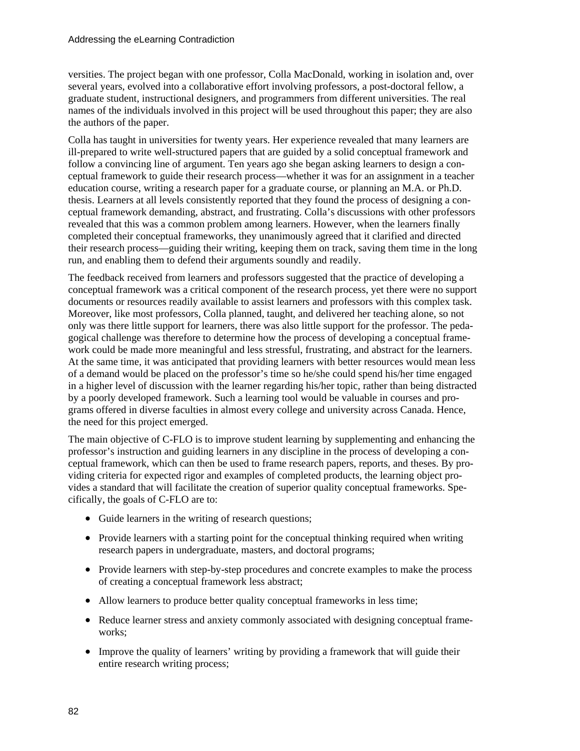versities. The project began with one professor, Colla MacDonald, working in isolation and, over several years, evolved into a collaborative effort involving professors, a post-doctoral fellow, a graduate student, instructional designers, and programmers from different universities. The real names of the individuals involved in this project will be used throughout this paper; they are also the authors of the paper.

Colla has taught in universities for twenty years. Her experience revealed that many learners are ill-prepared to write well-structured papers that are guided by a solid conceptual framework and follow a convincing line of argument. Ten years ago she began asking learners to design a conceptual framework to guide their research process—whether it was for an assignment in a teacher education course, writing a research paper for a graduate course, or planning an M.A. or Ph.D. thesis. Learners at all levels consistently reported that they found the process of designing a conceptual framework demanding, abstract, and frustrating. Colla's discussions with other professors revealed that this was a common problem among learners. However, when the learners finally completed their conceptual frameworks, they unanimously agreed that it clarified and directed their research process—guiding their writing, keeping them on track, saving them time in the long run, and enabling them to defend their arguments soundly and readily.

The feedback received from learners and professors suggested that the practice of developing a conceptual framework was a critical component of the research process, yet there were no support documents or resources readily available to assist learners and professors with this complex task. Moreover, like most professors, Colla planned, taught, and delivered her teaching alone, so not only was there little support for learners, there was also little support for the professor. The pedagogical challenge was therefore to determine how the process of developing a conceptual framework could be made more meaningful and less stressful, frustrating, and abstract for the learners. At the same time, it was anticipated that providing learners with better resources would mean less of a demand would be placed on the professor's time so he/she could spend his/her time engaged in a higher level of discussion with the learner regarding his/her topic, rather than being distracted by a poorly developed framework. Such a learning tool would be valuable in courses and programs offered in diverse faculties in almost every college and university across Canada. Hence, the need for this project emerged.

The main objective of C-FLO is to improve student learning by supplementing and enhancing the professor's instruction and guiding learners in any discipline in the process of developing a conceptual framework, which can then be used to frame research papers, reports, and theses. By providing criteria for expected rigor and examples of completed products, the learning object provides a standard that will facilitate the creation of superior quality conceptual frameworks. Specifically, the goals of C-FLO are to:

- Guide learners in the writing of research questions;
- Provide learners with a starting point for the conceptual thinking required when writing research papers in undergraduate, masters, and doctoral programs;
- Provide learners with step-by-step procedures and concrete examples to make the process of creating a conceptual framework less abstract;
- Allow learners to produce better quality conceptual frameworks in less time;
- Reduce learner stress and anxiety commonly associated with designing conceptual frameworks;
- Improve the quality of learners' writing by providing a framework that will guide their entire research writing process;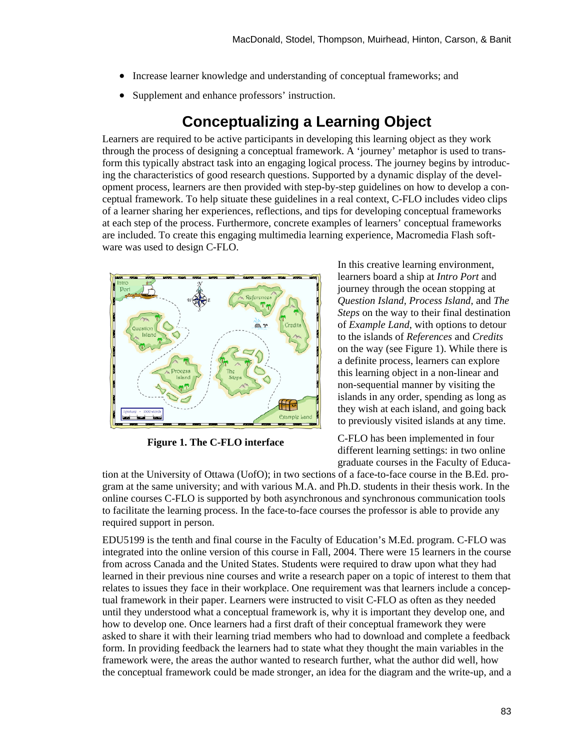- Increase learner knowledge and understanding of conceptual frameworks; and
- Supplement and enhance professors' instruction.

### **Conceptualizing a Learning Object**

Learners are required to be active participants in developing this learning object as they work through the process of designing a conceptual framework. A 'journey' metaphor is used to transform this typically abstract task into an engaging logical process. The journey begins by introducing the characteristics of good research questions. Supported by a dynamic display of the development process, learners are then provided with step-by-step guidelines on how to develop a conceptual framework. To help situate these guidelines in a real context, C-FLO includes video clips of a learner sharing her experiences, reflections, and tips for developing conceptual frameworks at each step of the process. Furthermore, concrete examples of learners' conceptual frameworks are included. To create this engaging multimedia learning experience, Macromedia Flash software was used to design C-FLO.



**Figure 1. The C-FLO interface** 

In this creative learning environment, learners board a ship at *Intro Port* and journey through the ocean stopping at *Question Island, Process Island,* and *The Steps* on the way to their final destination of *Example Land*, with options to detour to the islands of *References* and *Credits* on the way (see Figure 1). While there is a definite process, learners can explore this learning object in a non-linear and non-sequential manner by visiting the islands in any order, spending as long as they wish at each island, and going back to previously visited islands at any time.

C-FLO has been implemented in four different learning settings: in two online graduate courses in the Faculty of Educa-

tion at the University of Ottawa (UofO); in two sections of a face-to-face course in the B.Ed. program at the same university; and with various M.A. and Ph.D. students in their thesis work. In the online courses C-FLO is supported by both asynchronous and synchronous communication tools to facilitate the learning process. In the face-to-face courses the professor is able to provide any required support in person.

EDU5199 is the tenth and final course in the Faculty of Education's M.Ed. program. C-FLO was integrated into the online version of this course in Fall, 2004. There were 15 learners in the course from across Canada and the United States. Students were required to draw upon what they had learned in their previous nine courses and write a research paper on a topic of interest to them that relates to issues they face in their workplace. One requirement was that learners include a conceptual framework in their paper. Learners were instructed to visit C-FLO as often as they needed until they understood what a conceptual framework is, why it is important they develop one, and how to develop one. Once learners had a first draft of their conceptual framework they were asked to share it with their learning triad members who had to download and complete a feedback form. In providing feedback the learners had to state what they thought the main variables in the framework were, the areas the author wanted to research further, what the author did well, how the conceptual framework could be made stronger, an idea for the diagram and the write-up, and a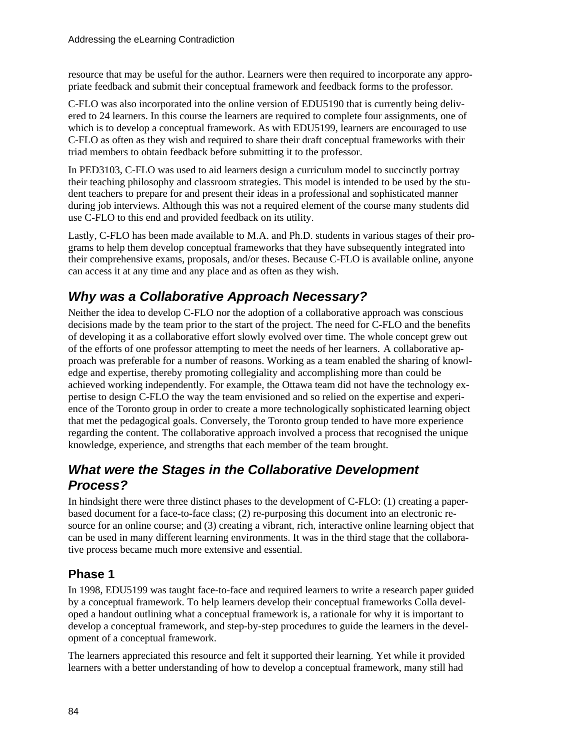resource that may be useful for the author. Learners were then required to incorporate any appropriate feedback and submit their conceptual framework and feedback forms to the professor.

C-FLO was also incorporated into the online version of EDU5190 that is currently being delivered to 24 learners. In this course the learners are required to complete four assignments, one of which is to develop a conceptual framework. As with EDU5199, learners are encouraged to use C-FLO as often as they wish and required to share their draft conceptual frameworks with their triad members to obtain feedback before submitting it to the professor.

In PED3103, C-FLO was used to aid learners design a curriculum model to succinctly portray their teaching philosophy and classroom strategies. This model is intended to be used by the student teachers to prepare for and present their ideas in a professional and sophisticated manner during job interviews. Although this was not a required element of the course many students did use C-FLO to this end and provided feedback on its utility.

Lastly, C-FLO has been made available to M.A. and Ph.D. students in various stages of their programs to help them develop conceptual frameworks that they have subsequently integrated into their comprehensive exams, proposals, and/or theses. Because C-FLO is available online, anyone can access it at any time and any place and as often as they wish.

### *Why was a Collaborative Approach Necessary?*

Neither the idea to develop C-FLO nor the adoption of a collaborative approach was conscious decisions made by the team prior to the start of the project. The need for C-FLO and the benefits of developing it as a collaborative effort slowly evolved over time. The whole concept grew out of the efforts of one professor attempting to meet the needs of her learners. A collaborative approach was preferable for a number of reasons. Working as a team enabled the sharing of knowledge and expertise, thereby promoting collegiality and accomplishing more than could be achieved working independently. For example, the Ottawa team did not have the technology expertise to design C-FLO the way the team envisioned and so relied on the expertise and experience of the Toronto group in order to create a more technologically sophisticated learning object that met the pedagogical goals. Conversely, the Toronto group tended to have more experience regarding the content. The collaborative approach involved a process that recognised the unique knowledge, experience, and strengths that each member of the team brought.

### *What were the Stages in the Collaborative Development Process?*

In hindsight there were three distinct phases to the development of C-FLO: (1) creating a paperbased document for a face-to-face class; (2) re-purposing this document into an electronic resource for an online course; and (3) creating a vibrant, rich, interactive online learning object that can be used in many different learning environments. It was in the third stage that the collaborative process became much more extensive and essential.

#### **Phase 1**

In 1998, EDU5199 was taught face-to-face and required learners to write a research paper guided by a conceptual framework. To help learners develop their conceptual frameworks Colla developed a handout outlining what a conceptual framework is, a rationale for why it is important to develop a conceptual framework, and step-by-step procedures to guide the learners in the development of a conceptual framework.

The learners appreciated this resource and felt it supported their learning. Yet while it provided learners with a better understanding of how to develop a conceptual framework, many still had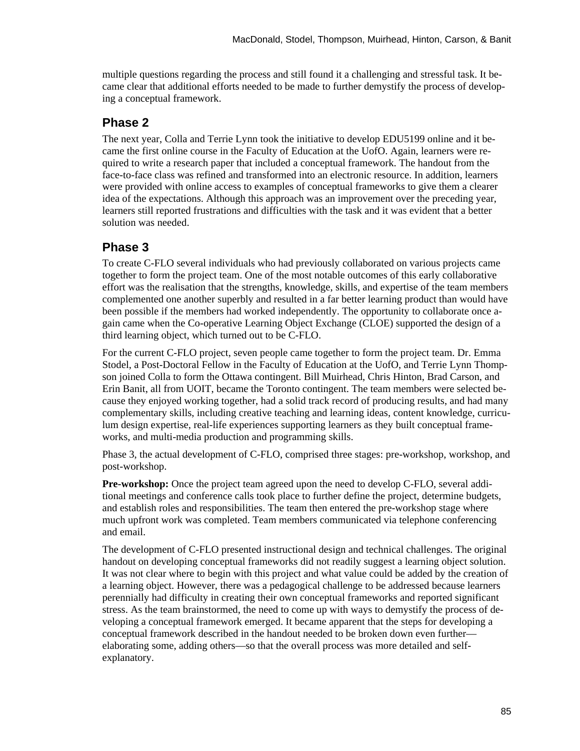multiple questions regarding the process and still found it a challenging and stressful task. It became clear that additional efforts needed to be made to further demystify the process of developing a conceptual framework.

#### **Phase 2**

The next year, Colla and Terrie Lynn took the initiative to develop EDU5199 online and it became the first online course in the Faculty of Education at the UofO. Again, learners were required to write a research paper that included a conceptual framework. The handout from the face-to-face class was refined and transformed into an electronic resource. In addition, learners were provided with online access to examples of conceptual frameworks to give them a clearer idea of the expectations. Although this approach was an improvement over the preceding year, learners still reported frustrations and difficulties with the task and it was evident that a better solution was needed.

#### **Phase 3**

To create C-FLO several individuals who had previously collaborated on various projects came together to form the project team. One of the most notable outcomes of this early collaborative effort was the realisation that the strengths, knowledge, skills, and expertise of the team members complemented one another superbly and resulted in a far better learning product than would have been possible if the members had worked independently. The opportunity to collaborate once again came when the Co-operative Learning Object Exchange (CLOE) supported the design of a third learning object, which turned out to be C-FLO.

For the current C-FLO project, seven people came together to form the project team. Dr. Emma Stodel, a Post-Doctoral Fellow in the Faculty of Education at the UofO, and Terrie Lynn Thompson joined Colla to form the Ottawa contingent. Bill Muirhead, Chris Hinton, Brad Carson, and Erin Banit, all from UOIT, became the Toronto contingent. The team members were selected because they enjoyed working together, had a solid track record of producing results, and had many complementary skills, including creative teaching and learning ideas, content knowledge, curriculum design expertise, real-life experiences supporting learners as they built conceptual frameworks, and multi-media production and programming skills.

Phase 3, the actual development of C-FLO, comprised three stages: pre-workshop, workshop, and post-workshop.

**Pre-workshop:** Once the project team agreed upon the need to develop C-FLO, several additional meetings and conference calls took place to further define the project, determine budgets, and establish roles and responsibilities. The team then entered the pre-workshop stage where much upfront work was completed. Team members communicated via telephone conferencing and email.

The development of C-FLO presented instructional design and technical challenges. The original handout on developing conceptual frameworks did not readily suggest a learning object solution. It was not clear where to begin with this project and what value could be added by the creation of a learning object. However, there was a pedagogical challenge to be addressed because learners perennially had difficulty in creating their own conceptual frameworks and reported significant stress. As the team brainstormed, the need to come up with ways to demystify the process of developing a conceptual framework emerged. It became apparent that the steps for developing a conceptual framework described in the handout needed to be broken down even further elaborating some, adding others—so that the overall process was more detailed and selfexplanatory.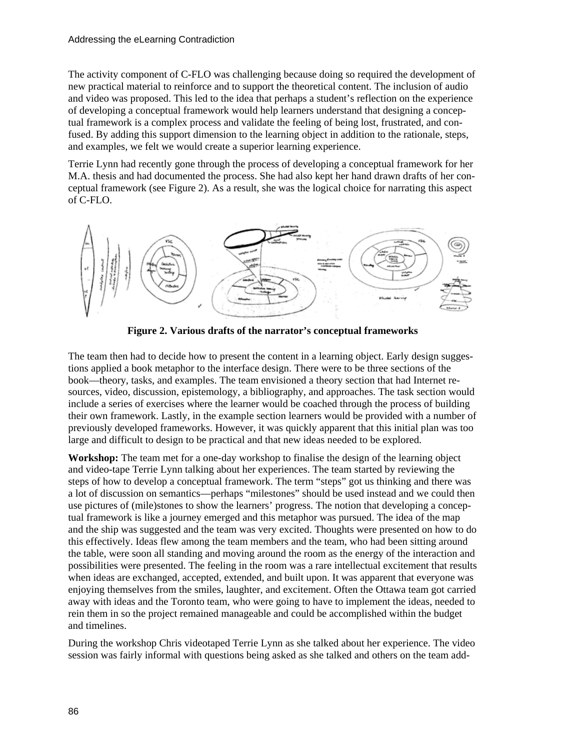The activity component of C-FLO was challenging because doing so required the development of new practical material to reinforce and to support the theoretical content. The inclusion of audio and video was proposed. This led to the idea that perhaps a student's reflection on the experience of developing a conceptual framework would help learners understand that designing a conceptual framework is a complex process and validate the feeling of being lost, frustrated, and confused. By adding this support dimension to the learning object in addition to the rationale, steps, and examples, we felt we would create a superior learning experience.

Terrie Lynn had recently gone through the process of developing a conceptual framework for her M.A. thesis and had documented the process. She had also kept her hand drawn drafts of her conceptual framework (see Figure 2). As a result, she was the logical choice for narrating this aspect of C-FLO.



**Figure 2. Various drafts of the narrator's conceptual frameworks** 

The team then had to decide how to present the content in a learning object. Early design suggestions applied a book metaphor to the interface design. There were to be three sections of the book—theory, tasks, and examples. The team envisioned a theory section that had Internet resources, video, discussion, epistemology, a bibliography, and approaches. The task section would include a series of exercises where the learner would be coached through the process of building their own framework. Lastly, in the example section learners would be provided with a number of previously developed frameworks. However, it was quickly apparent that this initial plan was too large and difficult to design to be practical and that new ideas needed to be explored.

**Workshop:** The team met for a one-day workshop to finalise the design of the learning object and video-tape Terrie Lynn talking about her experiences. The team started by reviewing the steps of how to develop a conceptual framework. The term "steps" got us thinking and there was a lot of discussion on semantics—perhaps "milestones" should be used instead and we could then use pictures of (mile)stones to show the learners' progress. The notion that developing a conceptual framework is like a journey emerged and this metaphor was pursued. The idea of the map and the ship was suggested and the team was very excited. Thoughts were presented on how to do this effectively. Ideas flew among the team members and the team, who had been sitting around the table, were soon all standing and moving around the room as the energy of the interaction and possibilities were presented. The feeling in the room was a rare intellectual excitement that results when ideas are exchanged, accepted, extended, and built upon. It was apparent that everyone was enjoying themselves from the smiles, laughter, and excitement. Often the Ottawa team got carried away with ideas and the Toronto team, who were going to have to implement the ideas, needed to rein them in so the project remained manageable and could be accomplished within the budget and timelines.

During the workshop Chris videotaped Terrie Lynn as she talked about her experience. The video session was fairly informal with questions being asked as she talked and others on the team add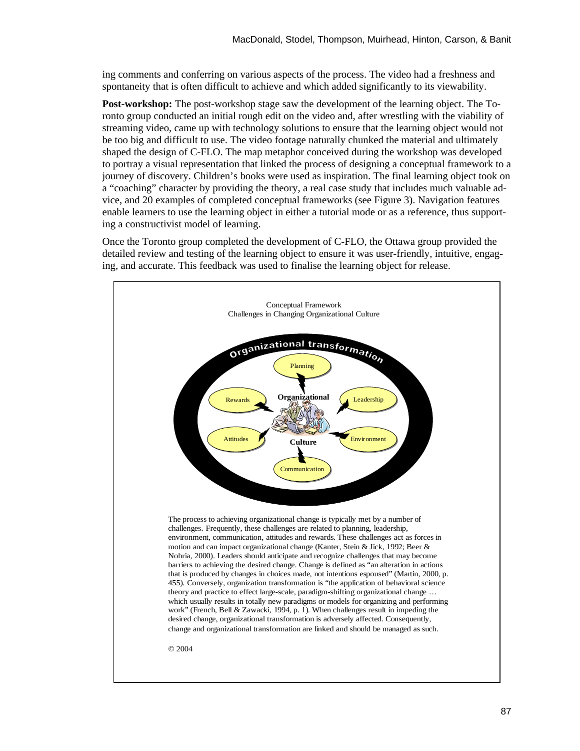ing comments and conferring on various aspects of the process. The video had a freshness and spontaneity that is often difficult to achieve and which added significantly to its viewability.

**Post-workshop:** The post-workshop stage saw the development of the learning object. The Toronto group conducted an initial rough edit on the video and, after wrestling with the viability of streaming video, came up with technology solutions to ensure that the learning object would not be too big and difficult to use. The video footage naturally chunked the material and ultimately shaped the design of C-FLO. The map metaphor conceived during the workshop was developed to portray a visual representation that linked the process of designing a conceptual framework to a journey of discovery. Children's books were used as inspiration. The final learning object took on a "coaching" character by providing the theory, a real case study that includes much valuable advice, and 20 examples of completed conceptual frameworks (see Figure 3). Navigation features enable learners to use the learning object in either a tutorial mode or as a reference, thus supporting a constructivist model of learning.

Once the Toronto group completed the development of C-FLO, the Ottawa group provided the detailed review and testing of the learning object to ensure it was user-friendly, intuitive, engaging, and accurate. This feedback was used to finalise the learning object for release.

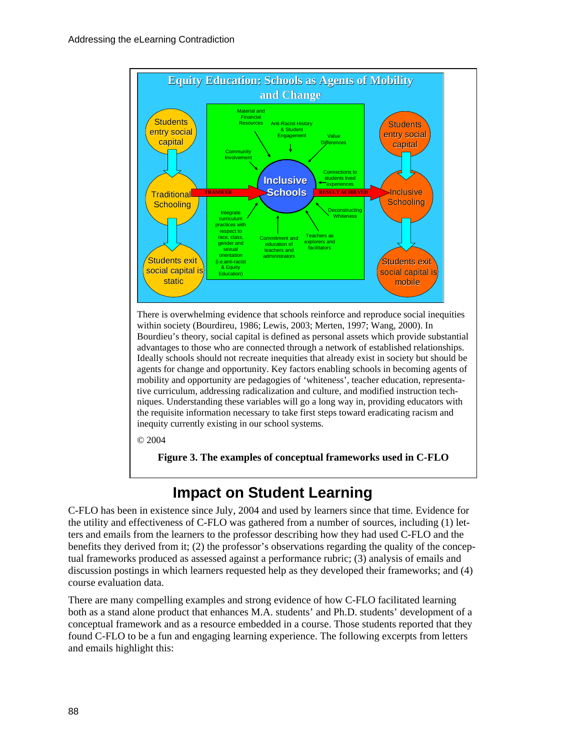

There is overwhelming evidence that schools reinforce and reproduce social inequities within society (Bourdireu, 1986; Lewis, 2003; Merten, 1997; Wang, 2000). In Bourdieu's theory, social capital is defined as personal assets which provide substantial advantages to those who are connected through a network of established relationships. Ideally schools should not recreate inequities that already exist in society but should be agents for change and opportunity. Key factors enabling schools in becoming agents of mobility and opportunity are pedagogies of 'whiteness', teacher education, representative curriculum, addressing radicalization and culture, and modified instruction techniques. Understanding these variables will go a long way in, providing educators with the requisite information necessary to take first steps toward eradicating racism and inequity currently existing in our school systems.

© 2004

**Figure 3. The examples of conceptual frameworks used in C-FLO** 

## **Impact on Student Learning**

C-FLO has been in existence since July, 2004 and used by learners since that time. Evidence for the utility and effectiveness of C-FLO was gathered from a number of sources, including (1) letters and emails from the learners to the professor describing how they had used C-FLO and the benefits they derived from it; (2) the professor's observations regarding the quality of the conceptual frameworks produced as assessed against a performance rubric; (3) analysis of emails and discussion postings in which learners requested help as they developed their frameworks; and (4) course evaluation data.

There are many compelling examples and strong evidence of how C-FLO facilitated learning both as a stand alone product that enhances M.A. students' and Ph.D. students' development of a conceptual framework and as a resource embedded in a course. Those students reported that they found C-FLO to be a fun and engaging learning experience. The following excerpts from letters and emails highlight this: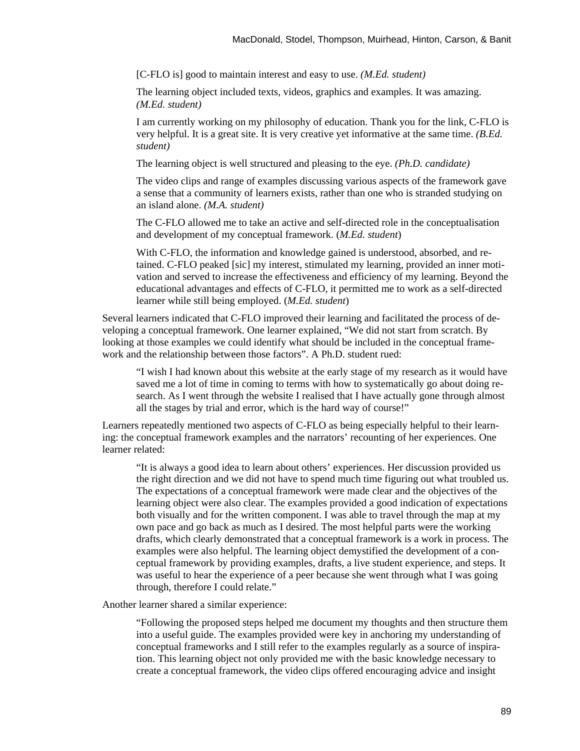[C-FLO is] good to maintain interest and easy to use. *(M.Ed. student)* 

The learning object included texts, videos, graphics and examples. It was amazing. *(M.Ed. student)*

I am currently working on my philosophy of education. Thank you for the link, C-FLO is very helpful. It is a great site. It is very creative yet informative at the same time. *(B.Ed. student)* 

The learning object is well structured and pleasing to the eye. *(Ph.D. candidate)* 

The video clips and range of examples discussing various aspects of the framework gave a sense that a community of learners exists, rather than one who is stranded studying on an island alone. *(M.A. student)*

The C-FLO allowed me to take an active and self-directed role in the conceptualisation and development of my conceptual framework. (*M.Ed. student*)

With C-FLO, the information and knowledge gained is understood, absorbed, and retained. C-FLO peaked [sic] my interest, stimulated my learning, provided an inner motivation and served to increase the effectiveness and efficiency of my learning. Beyond the educational advantages and effects of C-FLO, it permitted me to work as a self-directed learner while still being employed. (*M.Ed. student*)

Several learners indicated that C-FLO improved their learning and facilitated the process of developing a conceptual framework. One learner explained, "We did not start from scratch. By looking at those examples we could identify what should be included in the conceptual framework and the relationship between those factors". A Ph.D. student rued:

"I wish I had known about this website at the early stage of my research as it would have saved me a lot of time in coming to terms with how to systematically go about doing research. As I went through the website I realised that I have actually gone through almost all the stages by trial and error, which is the hard way of course!"

Learners repeatedly mentioned two aspects of C-FLO as being especially helpful to their learning: the conceptual framework examples and the narrators' recounting of her experiences. One learner related:

"It is always a good idea to learn about others' experiences. Her discussion provided us the right direction and we did not have to spend much time figuring out what troubled us. The expectations of a conceptual framework were made clear and the objectives of the learning object were also clear. The examples provided a good indication of expectations both visually and for the written component. I was able to travel through the map at my own pace and go back as much as I desired. The most helpful parts were the working drafts, which clearly demonstrated that a conceptual framework is a work in process. The examples were also helpful. The learning object demystified the development of a conceptual framework by providing examples, drafts, a live student experience, and steps. It was useful to hear the experience of a peer because she went through what I was going through, therefore I could relate."

Another learner shared a similar experience:

"Following the proposed steps helped me document my thoughts and then structure them into a useful guide. The examples provided were key in anchoring my understanding of conceptual frameworks and I still refer to the examples regularly as a source of inspiration. This learning object not only provided me with the basic knowledge necessary to create a conceptual framework, the video clips offered encouraging advice and insight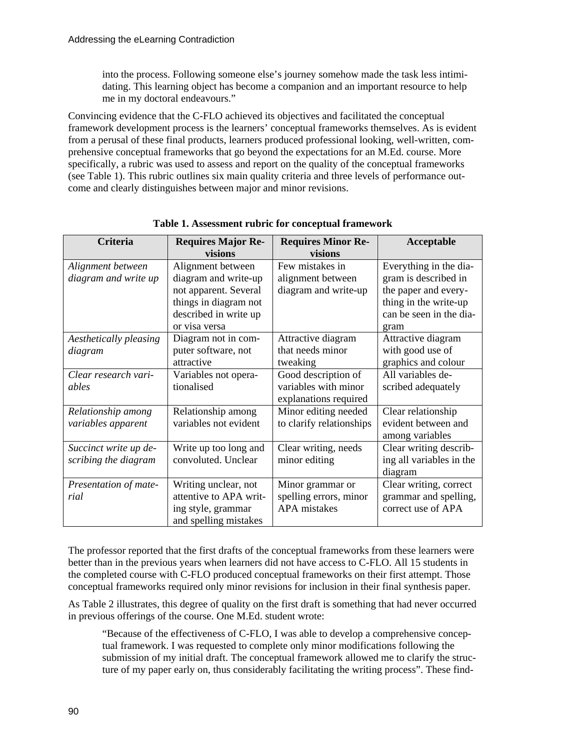into the process. Following someone else's journey somehow made the task less intimidating. This learning object has become a companion and an important resource to help me in my doctoral endeavours."

Convincing evidence that the C-FLO achieved its objectives and facilitated the conceptual framework development process is the learners' conceptual frameworks themselves. As is evident from a perusal of these final products, learners produced professional looking, well-written, comprehensive conceptual frameworks that go beyond the expectations for an M.Ed. course. More specifically, a rubric was used to assess and report on the quality of the conceptual frameworks (see Table 1). This rubric outlines six main quality criteria and three levels of performance outcome and clearly distinguishes between major and minor revisions.

| <b>Criteria</b>        | <b>Requires Major Re-</b> | <b>Requires Minor Re-</b> | Acceptable               |
|------------------------|---------------------------|---------------------------|--------------------------|
|                        | visions                   | visions                   |                          |
| Alignment between      | Alignment between         | Few mistakes in           | Everything in the dia-   |
| diagram and write up   | diagram and write-up      | alignment between         | gram is described in     |
|                        | not apparent. Several     | diagram and write-up      | the paper and every-     |
|                        | things in diagram not     |                           | thing in the write-up    |
|                        | described in write up     |                           | can be seen in the dia-  |
|                        | or visa versa             |                           | gram                     |
| Aesthetically pleasing | Diagram not in com-       | Attractive diagram        | Attractive diagram       |
| diagram                | puter software, not       | that needs minor          | with good use of         |
|                        | attractive                | tweaking                  | graphics and colour      |
| Clear research vari-   | Variables not opera-      | Good description of       | All variables de-        |
| ables                  | tionalised                | variables with minor      | scribed adequately       |
|                        |                           | explanations required     |                          |
| Relationship among     | Relationship among        | Minor editing needed      | Clear relationship       |
| variables apparent     | variables not evident     | to clarify relationships  | evident between and      |
|                        |                           |                           | among variables          |
| Succinct write up de-  | Write up too long and     | Clear writing, needs      | Clear writing describ-   |
| scribing the diagram   | convoluted. Unclear       | minor editing             | ing all variables in the |
|                        |                           |                           | diagram                  |
| Presentation of mate-  | Writing unclear, not      | Minor grammar or          | Clear writing, correct   |
| rial                   | attentive to APA writ-    | spelling errors, minor    | grammar and spelling,    |
|                        | ing style, grammar        | <b>APA</b> mistakes       | correct use of APA       |
|                        | and spelling mistakes     |                           |                          |

**Table 1. Assessment rubric for conceptual framework** 

The professor reported that the first drafts of the conceptual frameworks from these learners were better than in the previous years when learners did not have access to C-FLO. All 15 students in the completed course with C-FLO produced conceptual frameworks on their first attempt. Those conceptual frameworks required only minor revisions for inclusion in their final synthesis paper.

As Table 2 illustrates, this degree of quality on the first draft is something that had never occurred in previous offerings of the course. One M.Ed. student wrote:

"Because of the effectiveness of C-FLO, I was able to develop a comprehensive conceptual framework. I was requested to complete only minor modifications following the submission of my initial draft. The conceptual framework allowed me to clarify the structure of my paper early on, thus considerably facilitating the writing process". These find-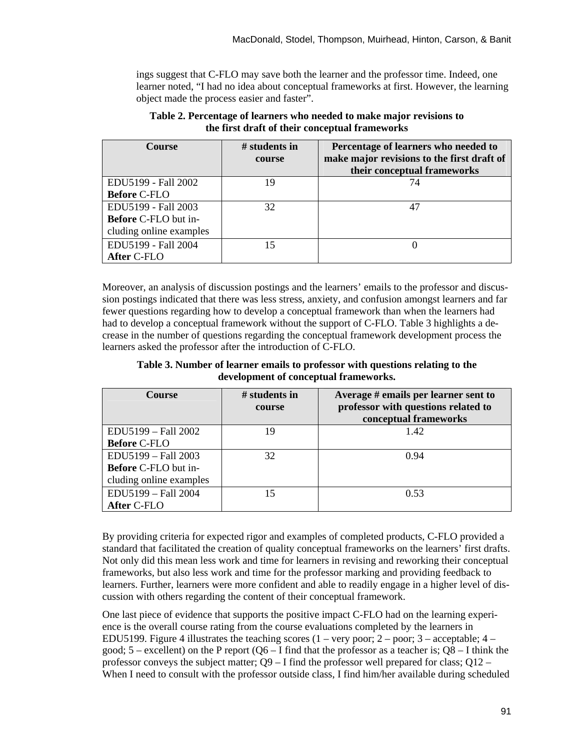ings suggest that C-FLO may save both the learner and the professor time. Indeed, one learner noted, "I had no idea about conceptual frameworks at first. However, the learning object made the process easier and faster".

| <b>Course</b>               | $\#$ students in<br>course | Percentage of learners who needed to<br>make major revisions to the first draft of<br>their conceptual frameworks |
|-----------------------------|----------------------------|-------------------------------------------------------------------------------------------------------------------|
| EDU5199 - Fall 2002         | 19                         | 74                                                                                                                |
| <b>Before C-FLO</b>         |                            |                                                                                                                   |
| EDU5199 - Fall 2003         | 32                         |                                                                                                                   |
| <b>Before C-FLO</b> but in- |                            |                                                                                                                   |
| cluding online examples     |                            |                                                                                                                   |
| EDU5199 - Fall 2004         | 15                         |                                                                                                                   |
| After C-FLO                 |                            |                                                                                                                   |

**Table 2. Percentage of learners who needed to make major revisions to the first draft of their conceptual frameworks** 

Moreover, an analysis of discussion postings and the learners' emails to the professor and discussion postings indicated that there was less stress, anxiety, and confusion amongst learners and far fewer questions regarding how to develop a conceptual framework than when the learners had had to develop a conceptual framework without the support of C-FLO. Table 3 highlights a decrease in the number of questions regarding the conceptual framework development process the learners asked the professor after the introduction of C-FLO.

**Table 3. Number of learner emails to professor with questions relating to the development of conceptual frameworks.** 

| <b>Course</b>                                                                 | $#$ students in<br>course | Average # emails per learner sent to<br>professor with questions related to<br>conceptual frameworks |
|-------------------------------------------------------------------------------|---------------------------|------------------------------------------------------------------------------------------------------|
| EDU5199 - Fall 2002<br><b>Before C-FLO</b>                                    | 19                        | 1.42                                                                                                 |
| EDU5199 - Fall 2003<br><b>Before C-FLO</b> but in-<br>cluding online examples | 32                        | 0.94                                                                                                 |
| EDU5199 - Fall 2004<br>After C-FLO                                            | 15                        | 0.53                                                                                                 |

By providing criteria for expected rigor and examples of completed products, C-FLO provided a standard that facilitated the creation of quality conceptual frameworks on the learners' first drafts. Not only did this mean less work and time for learners in revising and reworking their conceptual frameworks, but also less work and time for the professor marking and providing feedback to learners. Further, learners were more confident and able to readily engage in a higher level of discussion with others regarding the content of their conceptual framework.

One last piece of evidence that supports the positive impact C-FLO had on the learning experience is the overall course rating from the course evaluations completed by the learners in EDU5199. Figure 4 illustrates the teaching scores  $(1 - \text{very poor}; 2 - \text{poor}; 3 - \text{acceptable}; 4 - \text{query}})$ good;  $5$  – excellent) on the P report ( $O6 - I$  find that the professor as a teacher is;  $O8 - I$  think the professor conveys the subject matter; Q9 – I find the professor well prepared for class; Q12 – When I need to consult with the professor outside class, I find him/her available during scheduled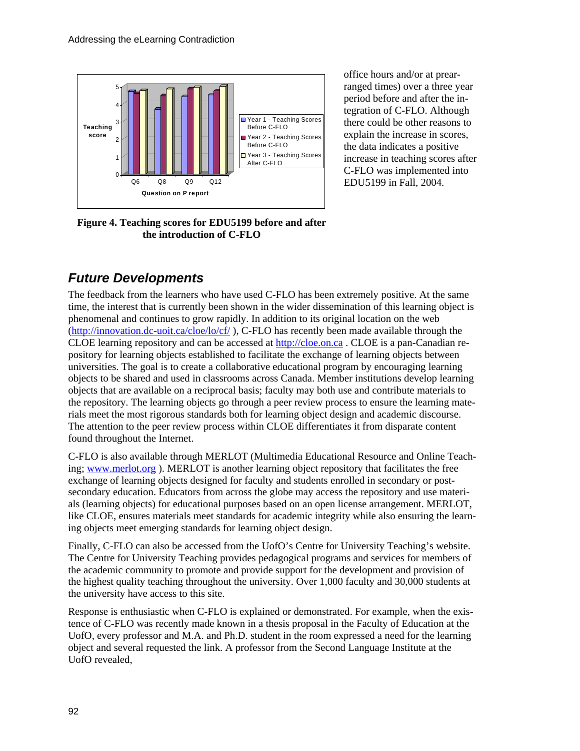

office hours and/or at prearranged times) over a three year period before and after the integration of C-FLO. Although there could be other reasons to explain the increase in scores, the data indicates a positive increase in teaching scores after C-FLO was implemented into EDU5199 in Fall, 2004.

**Figure 4. Teaching scores for EDU5199 before and after the introduction of C-FLO** 

## *Future Developments*

The feedback from the learners who have used C-FLO has been extremely positive. At the same time, the interest that is currently been shown in the wider dissemination of this learning object is phenomenal and continues to grow rapidly. In addition to its original location on the web (http://innovation.dc-uoit.ca/cloe/lo/cf/ ), C-FLO has recently been made available through the [CLOE learning repository and can be ac](http://innovation.dc-uoit.ca/cloe/lo/cf/)cessed at http://cloe.on.ca . CLOE is a pan-Canadian repository for learning objects established to facilit[ate the exchange o](http://cloe.on.ca/)f learning objects between universities. The goal is to create a collaborative educational program by encouraging learning objects to be shared and used in classrooms across Canada. Member institutions develop learning objects that are available on a reciprocal basis; faculty may both use and contribute materials to the repository. The learning objects go through a peer review process to ensure the learning materials meet the most rigorous standards both for learning object design and academic discourse. The attention to the peer review process within CLOE differentiates it from disparate content found throughout the Internet.

C-FLO is also available through MERLOT (Multimedia Educational Resource and Online Teaching; www.merlot.org ). MERLOT is another learning object repository that facilitates the free exc[hange of learning o](http://www.merlot.org/)bjects designed for faculty and students enrolled in secondary or postsecondary education. Educators from across the globe may access the repository and use materials (learning objects) for educational purposes based on an open license arrangement. MERLOT, like CLOE, ensures materials meet standards for academic integrity while also ensuring the learning objects meet emerging standards for learning object design.

Finally, C-FLO can also be accessed from the UofO's Centre for University Teaching's website. The Centre for University Teaching provides pedagogical programs and services for members of the academic community to promote and provide support for the development and provision of the highest quality teaching throughout the university. Over 1,000 faculty and 30,000 students at the university have access to this site.

Response is enthusiastic when C-FLO is explained or demonstrated. For example, when the existence of C-FLO was recently made known in a thesis proposal in the Faculty of Education at the UofO, every professor and M.A. and Ph.D. student in the room expressed a need for the learning object and several requested the link. A professor from the Second Language Institute at the UofO revealed,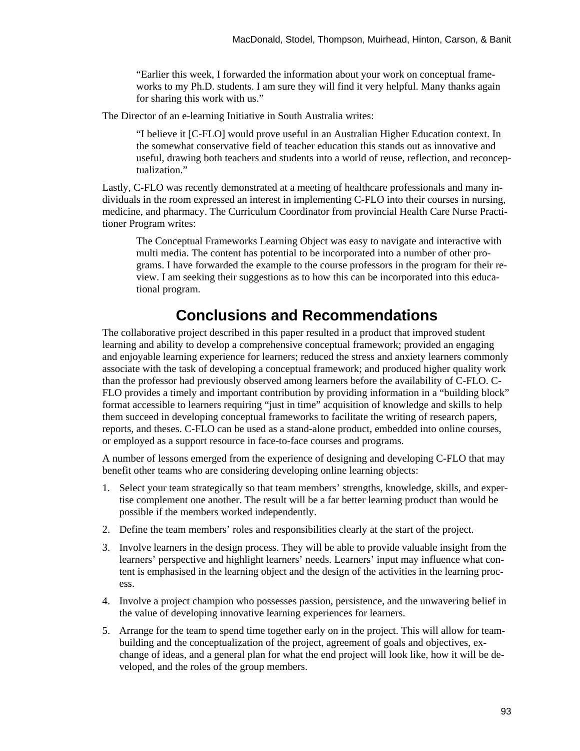"Earlier this week, I forwarded the information about your work on conceptual frameworks to my Ph.D. students. I am sure they will find it very helpful. Many thanks again for sharing this work with us."

The Director of an e-learning Initiative in South Australia writes:

"I believe it [C-FLO] would prove useful in an Australian Higher Education context. In the somewhat conservative field of teacher education this stands out as innovative and useful, drawing both teachers and students into a world of reuse, reflection, and reconceptualization."

Lastly, C-FLO was recently demonstrated at a meeting of healthcare professionals and many individuals in the room expressed an interest in implementing C-FLO into their courses in nursing, medicine, and pharmacy. The Curriculum Coordinator from provincial Health Care Nurse Practitioner Program writes:

The Conceptual Frameworks Learning Object was easy to navigate and interactive with multi media. The content has potential to be incorporated into a number of other programs. I have forwarded the example to the course professors in the program for their review. I am seeking their suggestions as to how this can be incorporated into this educational program.

## **Conclusions and Recommendations**

The collaborative project described in this paper resulted in a product that improved student learning and ability to develop a comprehensive conceptual framework; provided an engaging and enjoyable learning experience for learners; reduced the stress and anxiety learners commonly associate with the task of developing a conceptual framework; and produced higher quality work than the professor had previously observed among learners before the availability of C-FLO. C-FLO provides a timely and important contribution by providing information in a "building block" format accessible to learners requiring "just in time" acquisition of knowledge and skills to help them succeed in developing conceptual frameworks to facilitate the writing of research papers, reports, and theses. C-FLO can be used as a stand-alone product, embedded into online courses, or employed as a support resource in face-to-face courses and programs.

A number of lessons emerged from the experience of designing and developing C-FLO that may benefit other teams who are considering developing online learning objects:

- 1. Select your team strategically so that team members' strengths, knowledge, skills, and expertise complement one another. The result will be a far better learning product than would be possible if the members worked independently.
- 2. Define the team members' roles and responsibilities clearly at the start of the project.
- 3. Involve learners in the design process. They will be able to provide valuable insight from the learners' perspective and highlight learners' needs. Learners' input may influence what content is emphasised in the learning object and the design of the activities in the learning process.
- 4. Involve a project champion who possesses passion, persistence, and the unwavering belief in the value of developing innovative learning experiences for learners.
- 5. Arrange for the team to spend time together early on in the project. This will allow for teambuilding and the conceptualization of the project, agreement of goals and objectives, exchange of ideas, and a general plan for what the end project will look like, how it will be developed, and the roles of the group members.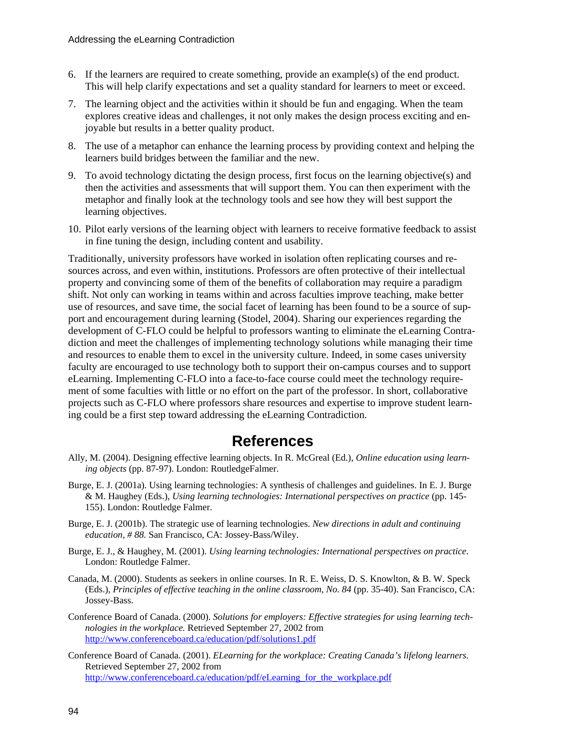- 6. If the learners are required to create something, provide an example(s) of the end product. This will help clarify expectations and set a quality standard for learners to meet or exceed.
- 7. The learning object and the activities within it should be fun and engaging. When the team explores creative ideas and challenges, it not only makes the design process exciting and enjoyable but results in a better quality product.
- 8. The use of a metaphor can enhance the learning process by providing context and helping the learners build bridges between the familiar and the new.
- 9. To avoid technology dictating the design process, first focus on the learning objective(s) and then the activities and assessments that will support them. You can then experiment with the metaphor and finally look at the technology tools and see how they will best support the learning objectives.
- 10. Pilot early versions of the learning object with learners to receive formative feedback to assist in fine tuning the design, including content and usability.

Traditionally, university professors have worked in isolation often replicating courses and resources across, and even within, institutions. Professors are often protective of their intellectual property and convincing some of them of the benefits of collaboration may require a paradigm shift. Not only can working in teams within and across faculties improve teaching, make better use of resources, and save time, the social facet of learning has been found to be a source of support and encouragement during learning (Stodel, 2004). Sharing our experiences regarding the development of C-FLO could be helpful to professors wanting to eliminate the eLearning Contradiction and meet the challenges of implementing technology solutions while managing their time and resources to enable them to excel in the university culture. Indeed, in some cases university faculty are encouraged to use technology both to support their on-campus courses and to support eLearning. Implementing C-FLO into a face-to-face course could meet the technology requirement of some faculties with little or no effort on the part of the professor. In short, collaborative projects such as C-FLO where professors share resources and expertise to improve student learning could be a first step toward addressing the eLearning Contradiction.

### **References**

- Ally, M. (2004). Designing effective learning objects. In R. McGreal (Ed.), *Online education using learning objects* (pp. 87-97). London: RoutledgeFalmer.
- Burge, E. J. (2001a). Using learning technologies: A synthesis of challenges and guidelines. In E. J. Burge & M. Haughey (Eds.), *Using learning technologies: International perspectives on practice* (pp. 145- 155). London: Routledge Falmer.
- Burge, E. J. (2001b). The strategic use of learning technologies. *New directions in adult and continuing education, # 88.* San Francisco, CA: Jossey-Bass/Wiley.
- Burge, E. J., & Haughey, M. (2001). *Using learning technologies: International perspectives on practice*. London: Routledge Falmer.
- Canada, M. (2000). Students as seekers in online courses. In R. E. Weiss, D. S. Knowlton, & B. W. Speck (Eds.), *Principles of effective teaching in the online classroom, No. 84* (pp. 35-40). San Francisco, CA: Jossey-Bass.
- Conference Board of Canada. (2000). *Solutions for employers: Effective strategies for using learning technologies in the workplace.* Retrieved September 27, 2002 from <http://www.conferenceboard.ca/education/pdf/solutions1.pdf>
- Conference Board of Canada. (2001). *ELearning for the workplace: Creating Canada's lifelong learners.*  Retrieved September 27, 2002 from http://www.conferenceboard.ca/education/pdf/eLearning for the workplace.pdf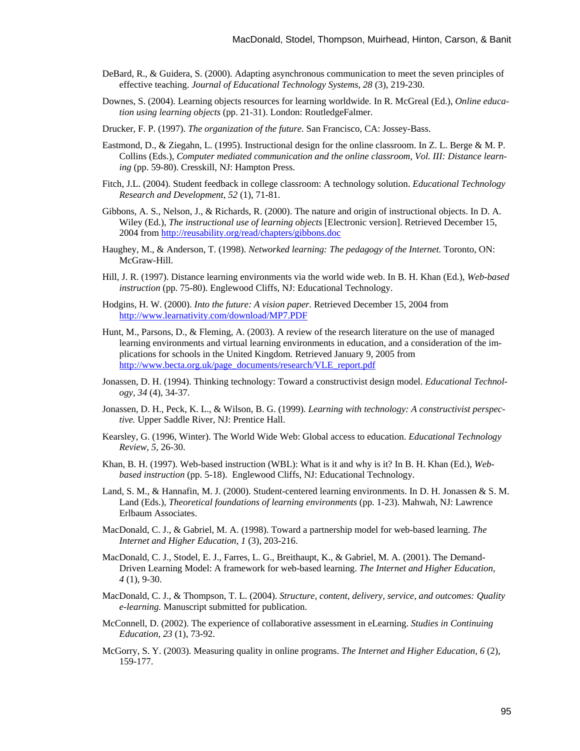- DeBard, R., & Guidera, S. (2000). Adapting asynchronous communication to meet the seven principles of effective teaching. *Journal of Educational Technology Systems, 28* (3), 219-230.
- Downes, S. (2004). Learning objects resources for learning worldwide. In R. McGreal (Ed.), *Online education using learning objects* (pp. 21-31). London: RoutledgeFalmer.
- Drucker, F. P. (1997). *The organization of the future.* San Francisco, CA: Jossey-Bass.
- Eastmond, D., & Ziegahn, L. (1995). Instructional design for the online classroom. In Z. L. Berge & M. P. Collins (Eds.), *Computer mediated communication and the online classroom, Vol. III: Distance learning* (pp. 59-80). Cresskill, NJ: Hampton Press.
- Fitch, J.L. (2004). Student feedback in college classroom: A technology solution. *Educational Technology Research and Development*, *52* (1), 71-81.
- Gibbons, A. S., Nelson, J., & Richards, R. (2000). The nature and origin of instructional objects. In D. A. Wiley (Ed.), *The instructional use of learning objects* [Electronic version]. Retrieved December 15, 2004 from<http://reusability.org/read/chapters/gibbons.doc>
- Haughey, M., & Anderson, T. (1998). *Networked learning: The pedagogy of the Internet.* Toronto, ON: McGraw-Hill.
- Hill, J. R. (1997). Distance learning environments via the world wide web. In B. H. Khan (Ed.), *Web-based instruction* (pp. 75-80). Englewood Cliffs, NJ: Educational Technology.
- Hodgins, H. W. (2000). *Into the future: A vision paper.* Retrieved December 15, 2004 from <http://www.learnativity.com/download/MP7.PDF>
- Hunt, M., Parsons, D., & Fleming, A. (2003). A review of the research literature on the use of managed learning environments and virtual learning environments in education, and a consideration of the implications for schools in the United Kingdom. Retrieved January 9, 2005 from [http://www.becta.org.uk/page\\_documents/research/VLE\\_report.pdf](http://www.becta.org.uk/page_documents/research/VLE_report.pdf)
- Jonassen, D. H. (1994). Thinking technology: Toward a constructivist design model. *Educational Technology, 34* (4), 34-37.
- Jonassen, D. H., Peck, K. L., & Wilson, B. G. (1999). *Learning with technology: A constructivist perspective.* Upper Saddle River, NJ: Prentice Hall.
- Kearsley, G. (1996, Winter). The World Wide Web: Global access to education. *Educational Technology Review, 5,* 26-30.
- Khan, B. H. (1997). Web-based instruction (WBL): What is it and why is it? In B. H. Khan (Ed.), *Webbased instruction* (pp. 5-18). Englewood Cliffs, NJ: Educational Technology.
- Land, S. M., & Hannafin, M. J. (2000). Student-centered learning environments. In D. H. Jonassen & S. M. Land (Eds.), *Theoretical foundations of learning environments* (pp. 1-23). Mahwah, NJ: Lawrence Erlbaum Associates.
- MacDonald, C. J., & Gabriel, M. A. (1998). Toward a partnership model for web-based learning. *The Internet and Higher Education, 1* (3), 203-216.
- MacDonald, C. J., Stodel, E. J., Farres, L. G., Breithaupt, K., & Gabriel, M. A. (2001). The Demand-Driven Learning Model: A framework for web-based learning. *The Internet and Higher Education, 4* (1), 9-30.
- MacDonald, C. J., & Thompson, T. L. (2004). *Structure, content, delivery, service, and outcomes: Quality e-learning.* Manuscript submitted for publication.
- McConnell, D. (2002). The experience of collaborative assessment in eLearning. *Studies in Continuing Education, 23* (1), 73-92.
- McGorry, S. Y. (2003). Measuring quality in online programs. *The Internet and Higher Education, 6* (2), 159-177.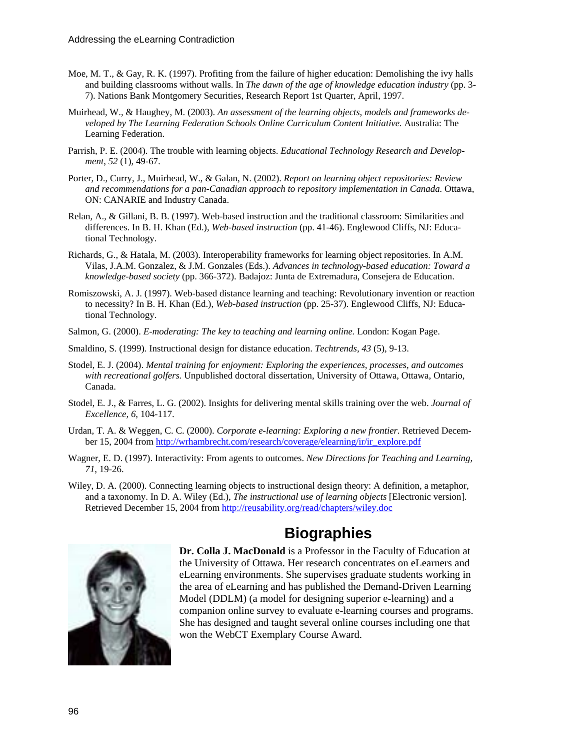- Moe, M. T., & Gay, R. K. (1997). Profiting from the failure of higher education: Demolishing the ivy halls and building classrooms without walls. In *The dawn of the age of knowledge education industry* (pp. 3- 7). Nations Bank Montgomery Securities, Research Report 1st Quarter, April, 1997.
- Muirhead, W., & Haughey, M. (2003). *An assessment of the learning objects, models and frameworks de*veloped by The Learning Federation Schools Online Curriculum Content Initiative. Australia: The Learning Federation.
- Parrish, P. E. (2004). The trouble with learning objects. *Educational Technology Research and Development*, *52* (1), 49-67.
- Porter, D., Curry, J., Muirhead, W., & Galan, N. (2002). *Report on learning object repositories: Review and recommendations for a pan-Canadian approach to repository implementation in Canada.* Ottawa, ON: CANARIE and Industry Canada.
- Relan, A., & Gillani, B. B. (1997). Web-based instruction and the traditional classroom: Similarities and differences. In B. H. Khan (Ed.), *Web-based instruction* (pp. 41-46). Englewood Cliffs, NJ: Educational Technology.
- Richards, G., & Hatala, M. (2003). Interoperability frameworks for learning object repositories. In A.M. Vilas, J.A.M. Gonzalez, & J.M. Gonzales (Eds.). *Advances in technology-based education: Toward a knowledge-based society* (pp. 366-372). Badajoz: Junta de Extremadura, Consejera de Education.
- Romiszowski, A. J. (1997). Web-based distance learning and teaching: Revolutionary invention or reaction to necessity? In B. H. Khan (Ed.), *Web-based instruction* (pp. 25-37). Englewood Cliffs, NJ: Educational Technology.
- Salmon, G. (2000). *E-moderating: The key to teaching and learning online.* London: Kogan Page.
- Smaldino, S. (1999). Instructional design for distance education. *Techtrends, 43* (5), 9-13.
- Stodel, E. J. (2004). *Mental training for enjoyment: Exploring the experiences, processes, and outcomes with recreational golfers.* Unpublished doctoral dissertation, University of Ottawa, Ottawa, Ontario, Canada.
- Stodel, E. J., & Farres, L. G. (2002). Insights for delivering mental skills training over the web. *Journal of Excellence, 6,* 104-117.
- Urdan, T. A. & Weggen, C. C. (2000). *Corporate e-learning: Exploring a new frontier.* Retrieved December 15, 2004 from http://wrhambrecht.com/research/coverage/elearning/ir/ir\_explore.pdf
- Wagner, E. D. (1997). Interactivity: From agents to outcomes. *New Directions for Teaching and Learning, 71,* 19-26.
- Wiley, D. A. (2000). Connecting learning objects to instructional design theory: A definition, a metaphor, and a taxonomy. In D. A. Wiley (Ed.), *The instructional use of learning objects* [Electronic version]. Retrieved December 15, 2004 from<http://reusability.org/read/chapters/wiley.doc>



## **Biographies**

**Dr. Colla J. MacDonald** is a Professor in the Faculty of Education at the University of Ottawa. Her research concentrates on eLearners and eLearning environments. She supervises graduate students working in the area of eLearning and has published the Demand-Driven Learning Model (DDLM) (a model for designing superior e-learning) and a companion online survey to evaluate e-learning courses and programs. She has designed and taught several online courses including one that won the WebCT Exemplary Course Award.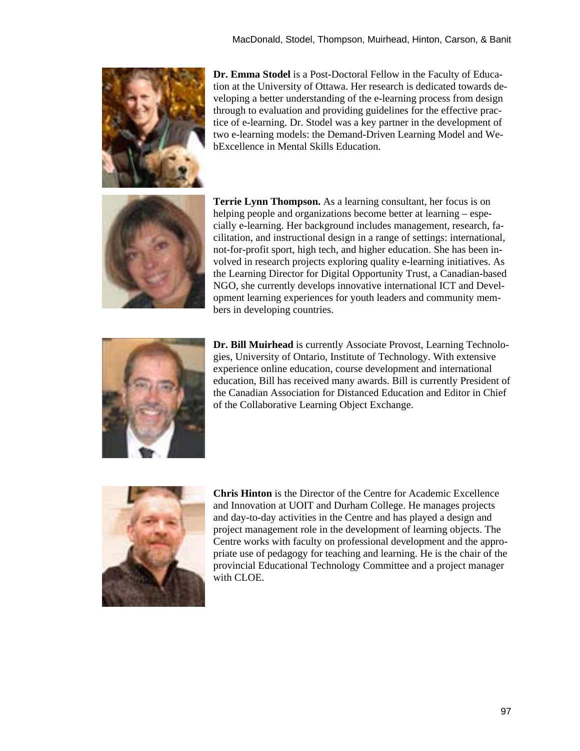

**Dr. Emma Stodel** is a Post-Doctoral Fellow in the Faculty of Education at the University of Ottawa. Her research is dedicated towards developing a better understanding of the e-learning process from design through to evaluation and providing guidelines for the effective practice of e-learning. Dr. Stodel was a key partner in the development of two e-learning models: the Demand-Driven Learning Model and WebExcellence in Mental Skills Education.



**Terrie Lynn Thompson.** As a learning consultant, her focus is on helping people and organizations become better at learning – especially e-learning. Her background includes management, research, facilitation, and instructional design in a range of settings: international, not-for-profit sport, high tech, and higher education. She has been involved in research projects exploring quality e-learning initiatives. As the Learning Director for Digital Opportunity Trust, a Canadian-based NGO, she currently develops innovative international ICT and Development learning experiences for youth leaders and community members in developing countries.



**Dr. Bill Muirhead** is currently Associate Provost, Learning Technologies, University of Ontario, Institute of Technology. With extensive experience online education, course development and international education, Bill has received many awards. Bill is currently President of the Canadian Association for Distanced Education and Editor in Chief of the Collaborative Learning Object Exchange.



**Chris Hinton** is the Director of the Centre for Academic Excellence and Innovation at UOIT and Durham College. He manages projects and day-to-day activities in the Centre and has played a design and project management role in the development of learning objects. The Centre works with faculty on professional development and the appropriate use of pedagogy for teaching and learning. He is the chair of the provincial Educational Technology Committee and a project manager with CLOE.